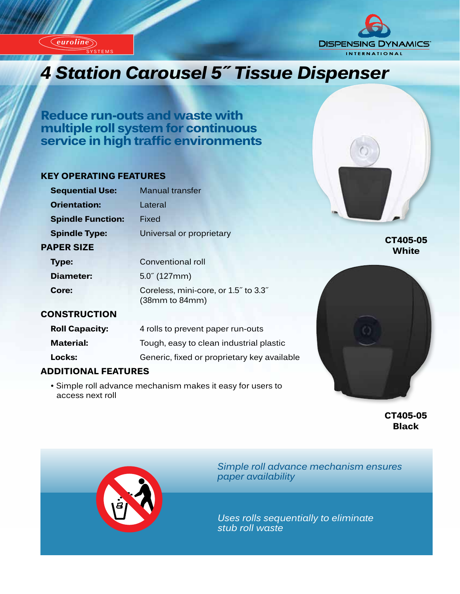*euroline*

'STEM

*euroline*





# *Innovation Carousel 5" Tissue Dispenser*

**Reduce run-outs and waste with multiple roll system for continuous service in high traffic environments**

### **KEY OPERATING FEATURES**

| <b>Sequential Use:</b>   | <b>Manual transfer</b>               |
|--------------------------|--------------------------------------|
| <b>Orientation:</b>      | Lateral                              |
| <b>Spindle Function:</b> | Fixed                                |
| <b>Spindle Type:</b>     | Universal or proprietary             |
| <b>PAPER SIZE</b>        |                                      |
| <b>Type:</b>             | Conventional roll                    |
| <b>Diameter:</b>         | $5.0^{\circ}$ (127mm)                |
| Core:                    | Coreless, mini-core, or 1.5" to 3.3" |

**CT405-05 White**

## **CONSTRUCTION**

| <b>Roll Capacity:</b> | 4 rolls to prevent paper run-outs           |
|-----------------------|---------------------------------------------|
| <b>Material:</b>      | Tough, easy to clean industrial plastic     |
| Locks:                | Generic, fixed or proprietary key available |

 (38mm to 84mm)

## **ADDITIONAL FEATURES**

 • Simple roll advance mechanism makes it easy for users to access next roll



**CT405-05 Black**



*Simple roll advance mechanism ensures paper availability*

*Uses rolls sequentially to eliminate stub roll waste*